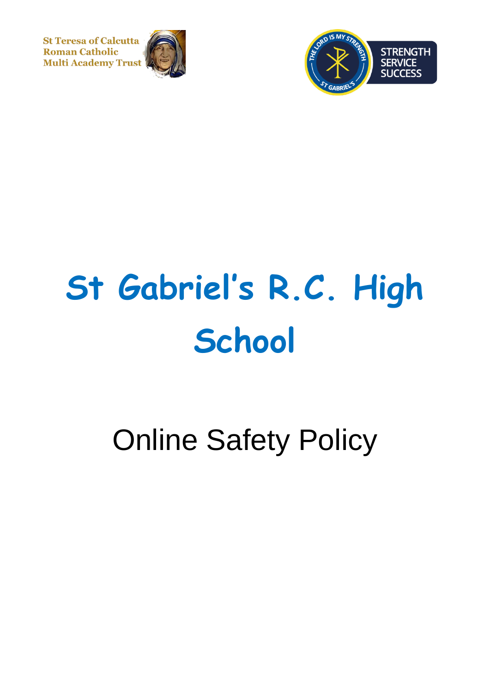**St Teresa of Calcutta Roman Catholic Multi Academy Trust** 





# **St Gabriel's R.C. High School**

# Online Safety Policy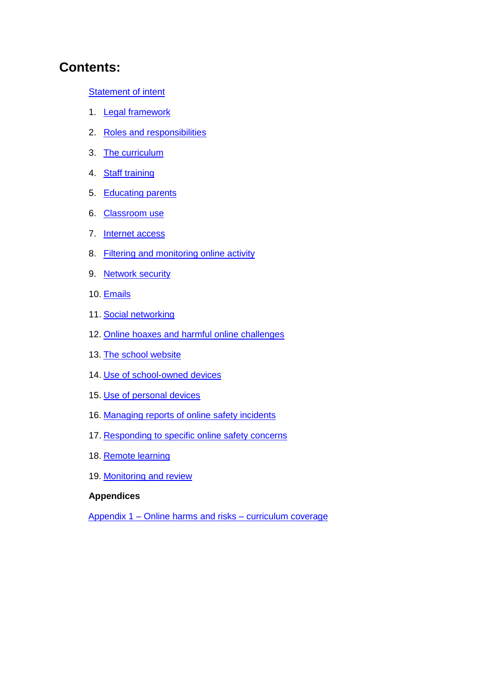# **Contents:**

**[Statement of](#page-2-0) intent** 

- 1. [Legal framework](#page-3-0)
- 2. [Roles and responsibilities](#page-4-0)
- 3. [The curriculum](#page-6-0)
- 4. [Staff training](#page-8-0)
- 5. [Educating parents](#page-9-0)
- 6. [Classroom use](#page-9-1)
- 7. [Internet access](#page-10-0)
- 8. [Filtering and monitoring online activity](#page-10-1)
- 9. [Network security](#page-11-0)
- 10. [Emails](#page-12-0)
- 11. [Social networking](#page-12-1)
- 12. [Online hoaxes and harmful online challenges](#page-13-0)
- 13. [The school website](#page-15-0)
- 14. [Use of school-owned devices](#page-15-1)
- 15. [Use of personal devices](#page-16-0)
- 16. [Managing reports of online safety incidents](#page-17-0)
- 17. [Responding to specific online safety concerns](#page-18-0)
- 18. [Remote learning](#page-22-0)
- 19. [Monitoring and review](#page-23-0)

#### **Appendices**

Appendix 1 – [Online harms and risks –](#page-25-0) curriculum coverage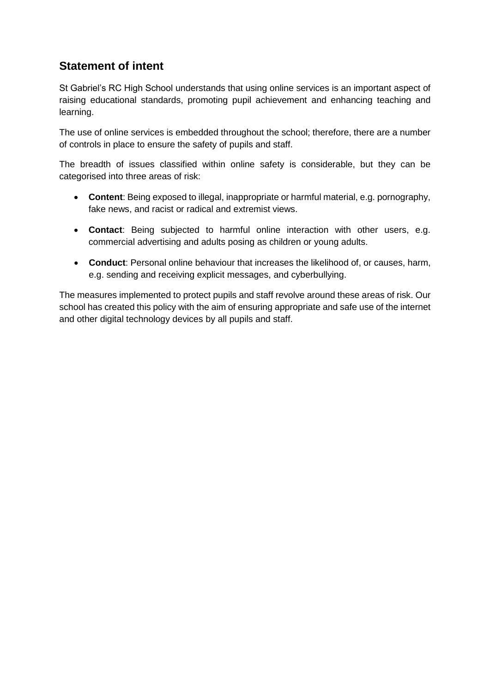# <span id="page-2-0"></span>**Statement of intent**

St Gabriel's RC High School understands that using online services is an important aspect of raising educational standards, promoting pupil achievement and enhancing teaching and learning.

The use of online services is embedded throughout the school; therefore, there are a number of controls in place to ensure the safety of pupils and staff.

The breadth of issues classified within online safety is considerable, but they can be categorised into three areas of risk:

- **Content**: Being exposed to illegal, inappropriate or harmful material, e.g. pornography, fake news, and racist or radical and extremist views.
- **Contact**: Being subjected to harmful online interaction with other users, e.g. commercial advertising and adults posing as children or young adults.
- **Conduct**: Personal online behaviour that increases the likelihood of, or causes, harm, e.g. sending and receiving explicit messages, and cyberbullying.

The measures implemented to protect pupils and staff revolve around these areas of risk. Our school has created this policy with the aim of ensuring appropriate and safe use of the internet and other digital technology devices by all pupils and staff.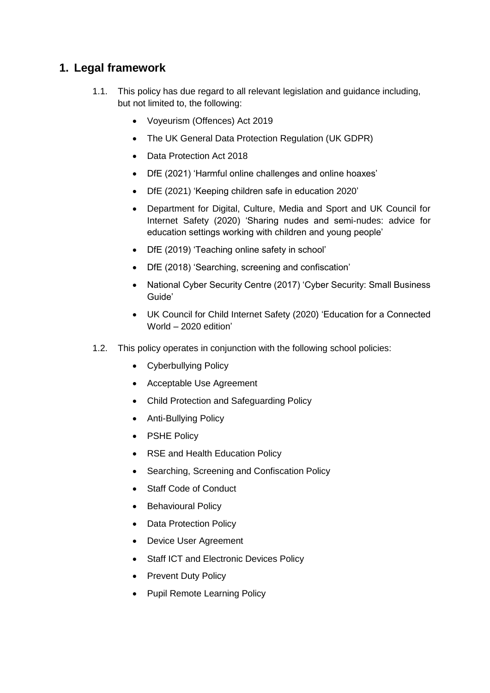# <span id="page-3-0"></span>**1. Legal framework**

- 1.1. This policy has due regard to all relevant legislation and guidance including, but not limited to, the following:
	- Voyeurism (Offences) Act 2019
	- The UK General Data Protection Regulation (UK GDPR)
	- Data Protection Act 2018
	- DfE (2021) 'Harmful online challenges and online hoaxes'
	- DfE (2021) 'Keeping children safe in education 2020'
	- Department for Digital, Culture, Media and Sport and UK Council for Internet Safety (2020) 'Sharing nudes and semi-nudes: advice for education settings working with children and young people'
	- DfE (2019) 'Teaching online safety in school'
	- DfE (2018) 'Searching, screening and confiscation'
	- National Cyber Security Centre (2017) 'Cyber Security: Small Business Guide'
	- UK Council for Child Internet Safety (2020) 'Education for a Connected World – 2020 edition'
- 1.2. This policy operates in conjunction with the following school policies:
	- Cyberbullying Policy
	- Acceptable Use Agreement
	- Child Protection and Safeguarding Policy
	- Anti-Bullying Policy
	- PSHE Policy
	- RSE and Health Education Policy
	- Searching, Screening and Confiscation Policy
	- Staff Code of Conduct
	- Behavioural Policy
	- Data Protection Policy
	- Device User Agreement
	- Staff ICT and Electronic Devices Policy
	- Prevent Duty Policy
	- Pupil Remote Learning Policy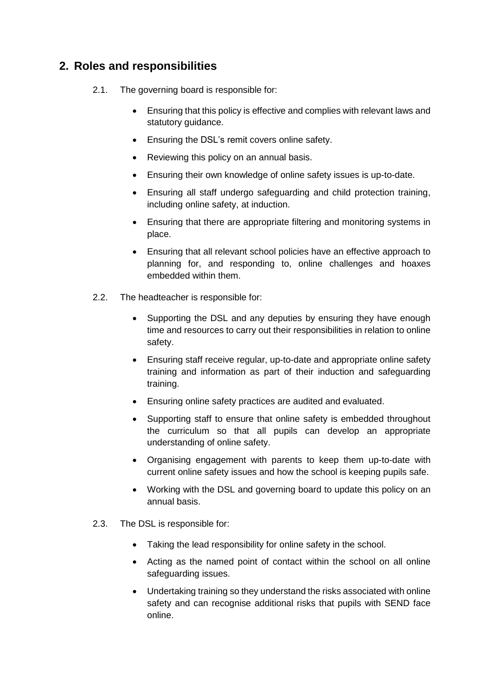# <span id="page-4-0"></span>**2. Roles and responsibilities**

- 2.1. The governing board is responsible for:
	- Ensuring that this policy is effective and complies with relevant laws and statutory guidance.
	- Ensuring the DSL's remit covers online safety.
	- Reviewing this policy on an annual basis.
	- Ensuring their own knowledge of online safety issues is up-to-date.
	- Ensuring all staff undergo safeguarding and child protection training, including online safety, at induction.
	- Ensuring that there are appropriate filtering and monitoring systems in place.
	- Ensuring that all relevant school policies have an effective approach to planning for, and responding to, online challenges and hoaxes embedded within them.
- 2.2. The headteacher is responsible for:
	- Supporting the DSL and any deputies by ensuring they have enough time and resources to carry out their responsibilities in relation to online safety.
	- Ensuring staff receive regular, up-to-date and appropriate online safety training and information as part of their induction and safeguarding training.
	- Ensuring online safety practices are audited and evaluated.
	- Supporting staff to ensure that online safety is embedded throughout the curriculum so that all pupils can develop an appropriate understanding of online safety.
	- Organising engagement with parents to keep them up-to-date with current online safety issues and how the school is keeping pupils safe.
	- Working with the DSL and governing board to update this policy on an annual basis.
- 2.3. The DSL is responsible for:
	- Taking the lead responsibility for online safety in the school.
	- Acting as the named point of contact within the school on all online safeguarding issues.
	- Undertaking training so they understand the risks associated with online safety and can recognise additional risks that pupils with SEND face online.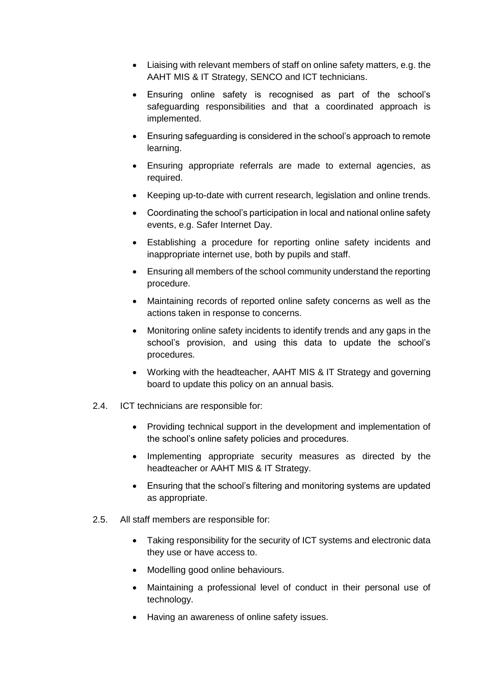- Liaising with relevant members of staff on online safety matters, e.g. the AAHT MIS & IT Strategy, SENCO and ICT technicians.
- Ensuring online safety is recognised as part of the school's safeguarding responsibilities and that a coordinated approach is implemented.
- Ensuring safeguarding is considered in the school's approach to remote learning.
- Ensuring appropriate referrals are made to external agencies, as required.
- Keeping up-to-date with current research, legislation and online trends.
- Coordinating the school's participation in local and national online safety events, e.g. Safer Internet Day.
- Establishing a procedure for reporting online safety incidents and inappropriate internet use, both by pupils and staff.
- Ensuring all members of the school community understand the reporting procedure.
- Maintaining records of reported online safety concerns as well as the actions taken in response to concerns.
- Monitoring online safety incidents to identify trends and any gaps in the school's provision, and using this data to update the school's procedures.
- Working with the headteacher, AAHT MIS & IT Strategy and governing board to update this policy on an annual basis.
- 2.4. ICT technicians are responsible for:
	- Providing technical support in the development and implementation of the school's online safety policies and procedures.
	- Implementing appropriate security measures as directed by the headteacher or AAHT MIS & IT Strategy.
	- Ensuring that the school's filtering and monitoring systems are updated as appropriate.
- 2.5. All staff members are responsible for:
	- Taking responsibility for the security of ICT systems and electronic data they use or have access to.
	- Modelling good online behaviours.
	- Maintaining a professional level of conduct in their personal use of technology.
	- Having an awareness of online safety issues.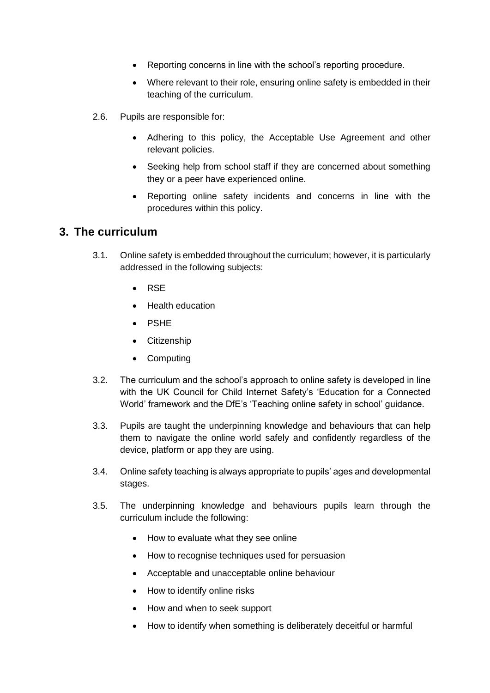- Reporting concerns in line with the school's reporting procedure.
- Where relevant to their role, ensuring online safety is embedded in their teaching of the curriculum.
- 2.6. Pupils are responsible for:
	- Adhering to this policy, the Acceptable Use Agreement and other relevant policies.
	- Seeking help from school staff if they are concerned about something they or a peer have experienced online.
	- Reporting online safety incidents and concerns in line with the procedures within this policy.

#### <span id="page-6-0"></span>**3. The curriculum**

- 3.1. Online safety is embedded throughout the curriculum; however, it is particularly addressed in the following subjects:
	- RSE
	- Health education
	- PSHE
	- Citizenship
	- Computing
- 3.2. The curriculum and the school's approach to online safety is developed in line with the UK Council for Child Internet Safety's 'Education for a Connected World' framework and the DfE's 'Teaching online safety in school' guidance.
- 3.3. Pupils are taught the underpinning knowledge and behaviours that can help them to navigate the online world safely and confidently regardless of the device, platform or app they are using.
- 3.4. Online safety teaching is always appropriate to pupils' ages and developmental stages.
- 3.5. The underpinning knowledge and behaviours pupils learn through the curriculum include the following:
	- How to evaluate what they see online
	- How to recognise techniques used for persuasion
	- Acceptable and unacceptable online behaviour
	- How to identify online risks
	- How and when to seek support
	- How to identify when something is deliberately deceitful or harmful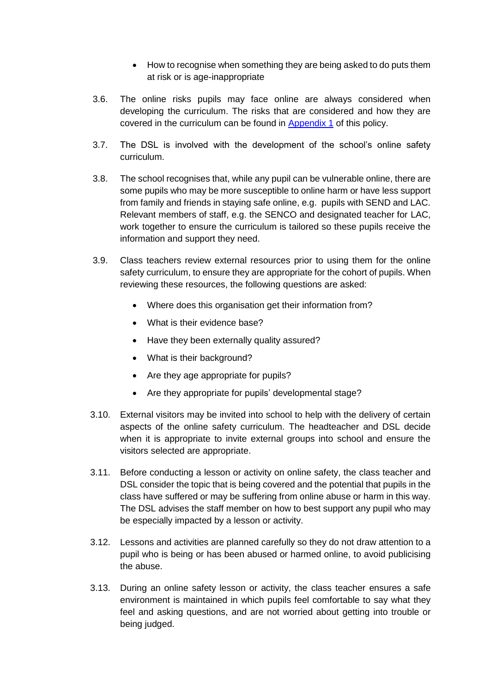- How to recognise when something they are being asked to do puts them at risk or is age-inappropriate
- 3.6. The online risks pupils may face online are always considered when developing the curriculum. The risks that are considered and how they are covered in the curriculum can be found in [Appendix 1](#page-25-0) of this policy.
- 3.7. The DSL is involved with the development of the school's online safety curriculum.
- 3.8. The school recognises that, while any pupil can be vulnerable online, there are some pupils who may be more susceptible to online harm or have less support from family and friends in staying safe online, e.g. pupils with SEND and LAC. Relevant members of staff, e.g. the SENCO and designated teacher for LAC, work together to ensure the curriculum is tailored so these pupils receive the information and support they need.
- 3.9. Class teachers review external resources prior to using them for the online safety curriculum, to ensure they are appropriate for the cohort of pupils. When reviewing these resources, the following questions are asked:
	- Where does this organisation get their information from?
	- What is their evidence base?
	- Have they been externally quality assured?
	- What is their background?
	- Are they age appropriate for pupils?
	- Are they appropriate for pupils' developmental stage?
- 3.10. External visitors may be invited into school to help with the delivery of certain aspects of the online safety curriculum. The headteacher and DSL decide when it is appropriate to invite external groups into school and ensure the visitors selected are appropriate.
- 3.11. Before conducting a lesson or activity on online safety, the class teacher and DSL consider the topic that is being covered and the potential that pupils in the class have suffered or may be suffering from online abuse or harm in this way. The DSL advises the staff member on how to best support any pupil who may be especially impacted by a lesson or activity.
- 3.12. Lessons and activities are planned carefully so they do not draw attention to a pupil who is being or has been abused or harmed online, to avoid publicising the abuse.
- 3.13. During an online safety lesson or activity, the class teacher ensures a safe environment is maintained in which pupils feel comfortable to say what they feel and asking questions, and are not worried about getting into trouble or being judged.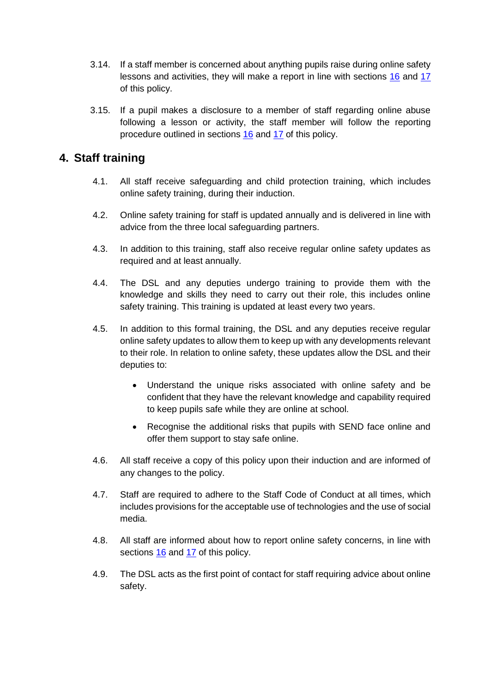- 3.14. If a staff member is concerned about anything pupils raise during online safety lessons and activities, they will make a report in line with sections [16](#page-17-0) and [17](#page-18-0) of this policy.
- 3.15. If a pupil makes a disclosure to a member of staff regarding online abuse following a lesson or activity, the staff member will follow the reporting procedure outlined in sections [16](#page-17-0) and [17](#page-18-0) of this policy.

# <span id="page-8-0"></span>**4. Staff training**

- 4.1. All staff receive safeguarding and child protection training, which includes online safety training, during their induction.
- 4.2. Online safety training for staff is updated annually and is delivered in line with advice from the three local safeguarding partners.
- 4.3. In addition to this training, staff also receive regular online safety updates as required and at least annually.
- 4.4. The DSL and any deputies undergo training to provide them with the knowledge and skills they need to carry out their role, this includes online safety training. This training is updated at least every two years.
- 4.5. In addition to this formal training, the DSL and any deputies receive regular online safety updates to allow them to keep up with any developments relevant to their role. In relation to online safety, these updates allow the DSL and their deputies to:
	- Understand the unique risks associated with online safety and be confident that they have the relevant knowledge and capability required to keep pupils safe while they are online at school.
	- Recognise the additional risks that pupils with SEND face online and offer them support to stay safe online.
- 4.6. All staff receive a copy of this policy upon their induction and are informed of any changes to the policy.
- 4.7. Staff are required to adhere to the Staff Code of Conduct at all times, which includes provisions for the acceptable use of technologies and the use of social media.
- 4.8. All staff are informed about how to report online safety concerns, in line with sections [16](#page-17-0) and [17](#page-18-0) of this policy.
- 4.9. The DSL acts as the first point of contact for staff requiring advice about online safety.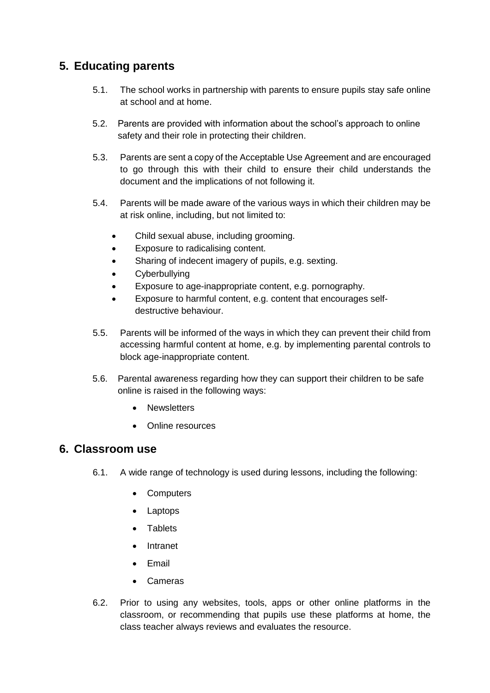# <span id="page-9-0"></span>**5. Educating parents**

- 5.1. The school works in partnership with parents to ensure pupils stay safe online at school and at home.
- 5.2. Parents are provided with information about the school's approach to online safety and their role in protecting their children.
- 5.3. Parents are sent a copy of the Acceptable Use Agreement and are encouraged to go through this with their child to ensure their child understands the document and the implications of not following it.
- 5.4. Parents will be made aware of the various ways in which their children may be at risk online, including, but not limited to:
	- Child sexual abuse, including grooming.
	- Exposure to radicalising content.
	- Sharing of indecent imagery of pupils, e.g. sexting.
	- Cyberbullying
	- Exposure to age-inappropriate content, e.g. pornography.
	- Exposure to harmful content, e.g. content that encourages selfdestructive behaviour.
- 5.5. Parents will be informed of the ways in which they can prevent their child from accessing harmful content at home, e.g. by implementing parental controls to block age-inappropriate content.
- 5.6. Parental awareness regarding how they can support their children to be safe online is raised in the following ways:
	- Newsletters
	- Online resources

# <span id="page-9-1"></span>**6. Classroom use**

- 6.1. A wide range of technology is used during lessons, including the following:
	- Computers
	- Laptops
	- Tablets
	- Intranet
	- Email
	- Cameras
- 6.2. Prior to using any websites, tools, apps or other online platforms in the classroom, or recommending that pupils use these platforms at home, the class teacher always reviews and evaluates the resource.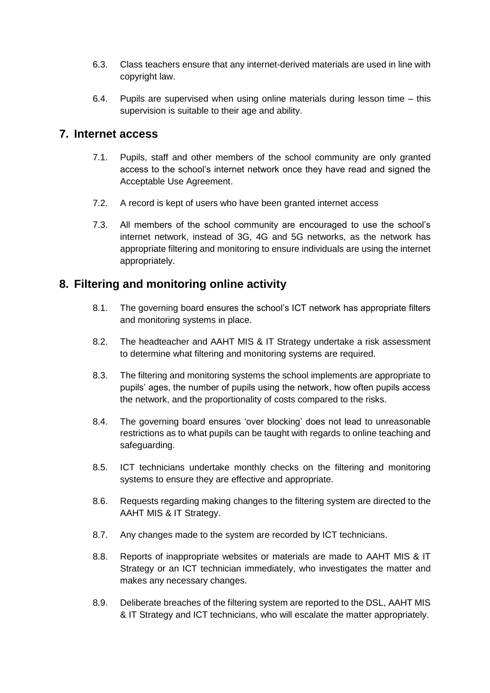- 6.3. Class teachers ensure that any internet-derived materials are used in line with copyright law.
- 6.4. Pupils are supervised when using online materials during lesson time this supervision is suitable to their age and ability.

### <span id="page-10-0"></span>**7. Internet access**

- 7.1. Pupils, staff and other members of the school community are only granted access to the school's internet network once they have read and signed the Acceptable Use Agreement.
- 7.2. A record is kept of users who have been granted internet access
- 7.3. All members of the school community are encouraged to use the school's internet network, instead of 3G, 4G and 5G networks, as the network has appropriate filtering and monitoring to ensure individuals are using the internet appropriately.

# <span id="page-10-1"></span>**8. Filtering and monitoring online activity**

- 8.1. The governing board ensures the school's ICT network has appropriate filters and monitoring systems in place.
- 8.2. The headteacher and AAHT MIS & IT Strategy undertake a risk assessment to determine what filtering and monitoring systems are required.
- 8.3. The filtering and monitoring systems the school implements are appropriate to pupils' ages, the number of pupils using the network, how often pupils access the network, and the proportionality of costs compared to the risks.
- 8.4. The governing board ensures 'over blocking' does not lead to unreasonable restrictions as to what pupils can be taught with regards to online teaching and safeguarding.
- 8.5. ICT technicians undertake monthly checks on the filtering and monitoring systems to ensure they are effective and appropriate.
- 8.6. Requests regarding making changes to the filtering system are directed to the AAHT MIS & IT Strategy.
- 8.7. Any changes made to the system are recorded by ICT technicians.
- 8.8. Reports of inappropriate websites or materials are made to AAHT MIS & IT Strategy or an ICT technician immediately, who investigates the matter and makes any necessary changes.
- 8.9. Deliberate breaches of the filtering system are reported to the DSL, AAHT MIS & IT Strategy and ICT technicians, who will escalate the matter appropriately.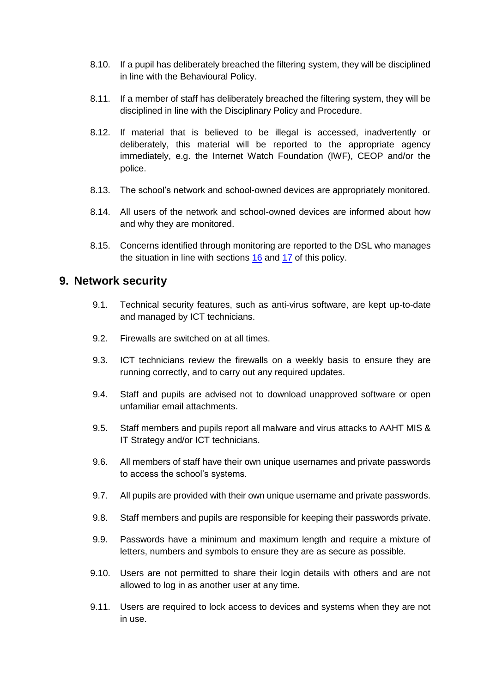- 8.10. If a pupil has deliberately breached the filtering system, they will be disciplined in line with the Behavioural Policy.
- 8.11. If a member of staff has deliberately breached the filtering system, they will be disciplined in line with the Disciplinary Policy and Procedure.
- 8.12. If material that is believed to be illegal is accessed, inadvertently or deliberately, this material will be reported to the appropriate agency immediately, e.g. the Internet Watch Foundation (IWF), CEOP and/or the police.
- 8.13. The school's network and school-owned devices are appropriately monitored.
- 8.14. All users of the network and school-owned devices are informed about how and why they are monitored.
- 8.15. Concerns identified through monitoring are reported to the DSL who manages the situation in line with sections [16](#page-17-0) and [17](#page-18-0) of this policy.

#### <span id="page-11-0"></span>**9. Network security**

- 9.1. Technical security features, such as anti-virus software, are kept up-to-date and managed by ICT technicians.
- 9.2. Firewalls are switched on at all times.
- 9.3. ICT technicians review the firewalls on a weekly basis to ensure they are running correctly, and to carry out any required updates.
- 9.4. Staff and pupils are advised not to download unapproved software or open unfamiliar email attachments.
- 9.5. Staff members and pupils report all malware and virus attacks to AAHT MIS & IT Strategy and/or ICT technicians.
- 9.6. All members of staff have their own unique usernames and private passwords to access the school's systems.
- 9.7. All pupils are provided with their own unique username and private passwords.
- 9.8. Staff members and pupils are responsible for keeping their passwords private.
- 9.9. Passwords have a minimum and maximum length and require a mixture of letters, numbers and symbols to ensure they are as secure as possible.
- 9.10. Users are not permitted to share their login details with others and are not allowed to log in as another user at any time.
- 9.11. Users are required to lock access to devices and systems when they are not in use.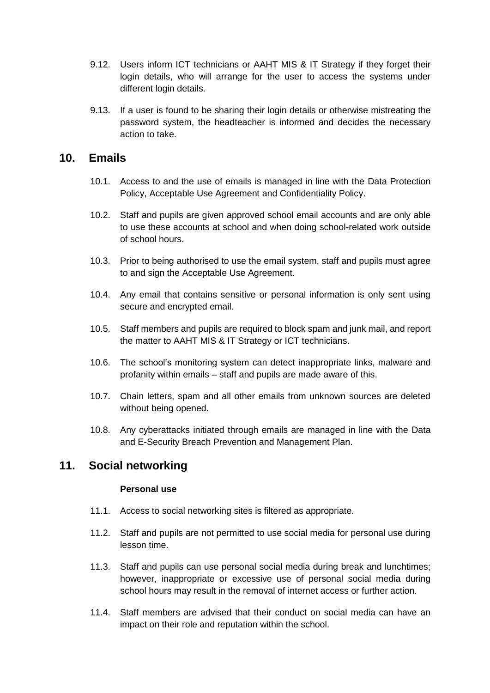- 9.12. Users inform ICT technicians or AAHT MIS & IT Strategy if they forget their login details, who will arrange for the user to access the systems under different login details.
- 9.13. If a user is found to be sharing their login details or otherwise mistreating the password system, the headteacher is informed and decides the necessary action to take.

#### <span id="page-12-0"></span>**10. Emails**

- 10.1. Access to and the use of emails is managed in line with the Data Protection Policy, Acceptable Use Agreement and Confidentiality Policy.
- 10.2. Staff and pupils are given approved school email accounts and are only able to use these accounts at school and when doing school-related work outside of school hours.
- 10.3. Prior to being authorised to use the email system, staff and pupils must agree to and sign the Acceptable Use Agreement.
- 10.4. Any email that contains sensitive or personal information is only sent using secure and encrypted email.
- 10.5. Staff members and pupils are required to block spam and junk mail, and report the matter to AAHT MIS & IT Strategy or ICT technicians.
- 10.6. The school's monitoring system can detect inappropriate links, malware and profanity within emails – staff and pupils are made aware of this.
- 10.7. Chain letters, spam and all other emails from unknown sources are deleted without being opened.
- 10.8. Any cyberattacks initiated through emails are managed in line with the Data and E-Security Breach Prevention and Management Plan.

# <span id="page-12-1"></span>**11. Social networking**

#### **Personal use**

- 11.1. Access to social networking sites is filtered as appropriate.
- 11.2. Staff and pupils are not permitted to use social media for personal use during lesson time.
- 11.3. Staff and pupils can use personal social media during break and lunchtimes; however, inappropriate or excessive use of personal social media during school hours may result in the removal of internet access or further action.
- 11.4. Staff members are advised that their conduct on social media can have an impact on their role and reputation within the school.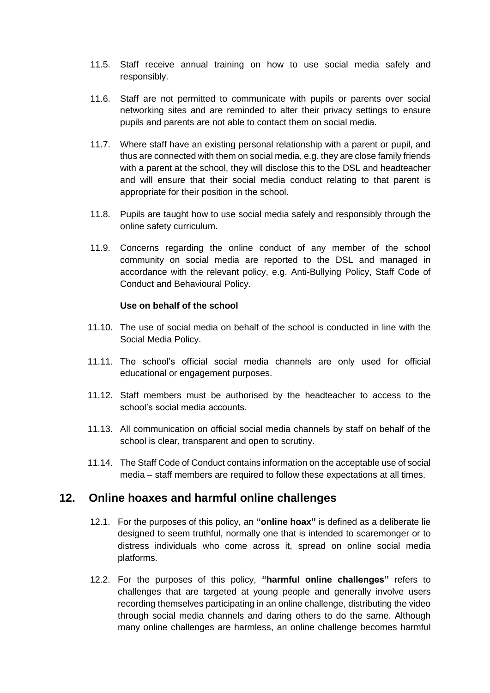- 11.5. Staff receive annual training on how to use social media safely and responsibly.
- 11.6. Staff are not permitted to communicate with pupils or parents over social networking sites and are reminded to alter their privacy settings to ensure pupils and parents are not able to contact them on social media.
- 11.7. Where staff have an existing personal relationship with a parent or pupil, and thus are connected with them on social media, e.g. they are close family friends with a parent at the school, they will disclose this to the DSL and headteacher and will ensure that their social media conduct relating to that parent is appropriate for their position in the school.
- 11.8. Pupils are taught how to use social media safely and responsibly through the online safety curriculum.
- 11.9. Concerns regarding the online conduct of any member of the school community on social media are reported to the DSL and managed in accordance with the relevant policy, e.g. Anti-Bullying Policy, Staff Code of Conduct and Behavioural Policy.

#### **Use on behalf of the school**

- 11.10. The use of social media on behalf of the school is conducted in line with the Social Media Policy.
- 11.11. The school's official social media channels are only used for official educational or engagement purposes.
- 11.12. Staff members must be authorised by the headteacher to access to the school's social media accounts.
- 11.13. All communication on official social media channels by staff on behalf of the school is clear, transparent and open to scrutiny.
- 11.14. The Staff Code of Conduct contains information on the acceptable use of social media – staff members are required to follow these expectations at all times.

#### <span id="page-13-0"></span>**12. Online hoaxes and harmful online challenges**

- 12.1. For the purposes of this policy, an **"online hoax"** is defined as a deliberate lie designed to seem truthful, normally one that is intended to scaremonger or to distress individuals who come across it, spread on online social media platforms.
- 12.2. For the purposes of this policy, **"harmful online challenges"** refers to challenges that are targeted at young people and generally involve users recording themselves participating in an online challenge, distributing the video through social media channels and daring others to do the same. Although many online challenges are harmless, an online challenge becomes harmful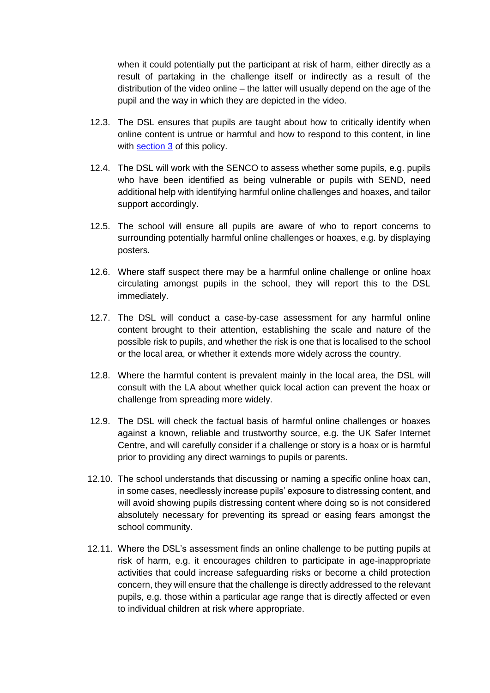when it could potentially put the participant at risk of harm, either directly as a result of partaking in the challenge itself or indirectly as a result of the distribution of the video online – the latter will usually depend on the age of the pupil and the way in which they are depicted in the video.

- 12.3. The DSL ensures that pupils are taught about how to critically identify when online content is untrue or harmful and how to respond to this content, in line with [section 3](#page-6-0) of this policy.
- 12.4. The DSL will work with the SENCO to assess whether some pupils, e.g. pupils who have been identified as being vulnerable or pupils with SEND, need additional help with identifying harmful online challenges and hoaxes, and tailor support accordingly.
- 12.5. The school will ensure all pupils are aware of who to report concerns to surrounding potentially harmful online challenges or hoaxes, e.g. by displaying posters.
- 12.6. Where staff suspect there may be a harmful online challenge or online hoax circulating amongst pupils in the school, they will report this to the DSL immediately.
- 12.7. The DSL will conduct a case-by-case assessment for any harmful online content brought to their attention, establishing the scale and nature of the possible risk to pupils, and whether the risk is one that is localised to the school or the local area, or whether it extends more widely across the country.
- 12.8. Where the harmful content is prevalent mainly in the local area, the DSL will consult with the LA about whether quick local action can prevent the hoax or challenge from spreading more widely.
- 12.9. The DSL will check the factual basis of harmful online challenges or hoaxes against a known, reliable and trustworthy source, e.g. the UK Safer Internet Centre, and will carefully consider if a challenge or story is a hoax or is harmful prior to providing any direct warnings to pupils or parents.
- 12.10. The school understands that discussing or naming a specific online hoax can, in some cases, needlessly increase pupils' exposure to distressing content, and will avoid showing pupils distressing content where doing so is not considered absolutely necessary for preventing its spread or easing fears amongst the school community.
- 12.11. Where the DSL's assessment finds an online challenge to be putting pupils at risk of harm, e.g. it encourages children to participate in age-inappropriate activities that could increase safeguarding risks or become a child protection concern, they will ensure that the challenge is directly addressed to the relevant pupils, e.g. those within a particular age range that is directly affected or even to individual children at risk where appropriate.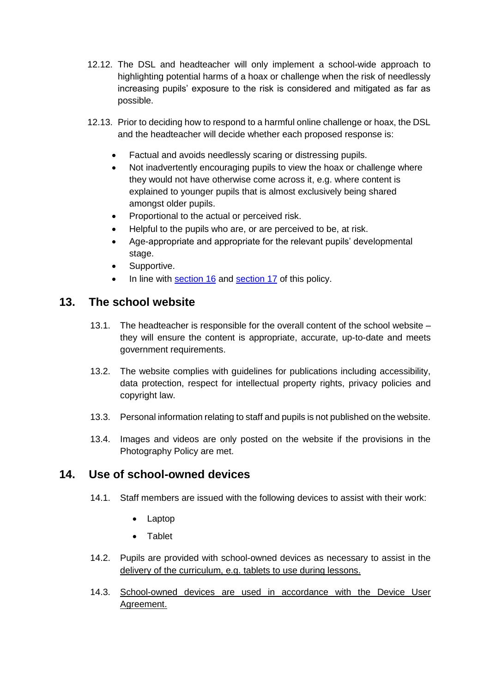- 12.12. The DSL and headteacher will only implement a school-wide approach to highlighting potential harms of a hoax or challenge when the risk of needlessly increasing pupils' exposure to the risk is considered and mitigated as far as possible.
- 12.13. Prior to deciding how to respond to a harmful online challenge or hoax, the DSL and the headteacher will decide whether each proposed response is:
	- Factual and avoids needlessly scaring or distressing pupils.
	- Not inadvertently encouraging pupils to view the hoax or challenge where they would not have otherwise come across it, e.g. where content is explained to younger pupils that is almost exclusively being shared amongst older pupils.
	- Proportional to the actual or perceived risk.
	- Helpful to the pupils who are, or are perceived to be, at risk.
	- Age-appropriate and appropriate for the relevant pupils' developmental stage.
	- Supportive.
	- In line with [section 16](#page-17-0) and [section 17](#page-18-0) of this policy.

#### <span id="page-15-0"></span>**13. The school website**

- 13.1. The headteacher is responsible for the overall content of the school website they will ensure the content is appropriate, accurate, up-to-date and meets government requirements.
- 13.2. The website complies with guidelines for publications including accessibility, data protection, respect for intellectual property rights, privacy policies and copyright law.
- 13.3. Personal information relating to staff and pupils is not published on the website.
- 13.4. Images and videos are only posted on the website if the provisions in the Photography Policy are met.

#### <span id="page-15-1"></span>**14. Use of school-owned devices**

- 14.1. Staff members are issued with the following devices to assist with their work:
	- Laptop
	- Tablet
- 14.2. Pupils are provided with school-owned devices as necessary to assist in the delivery of the curriculum, e.g. tablets to use during lessons.
- 14.3. School-owned devices are used in accordance with the Device User Agreement.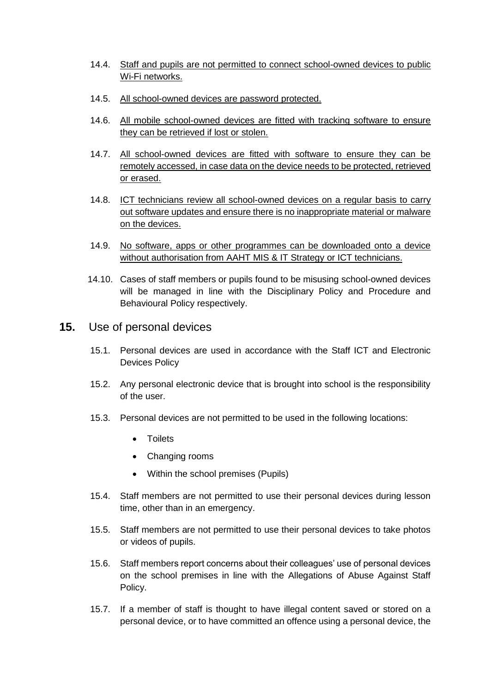- 14.4. Staff and pupils are not permitted to connect school-owned devices to public Wi-Fi networks.
- 14.5. All school-owned devices are password protected.
- 14.6. All mobile school-owned devices are fitted with tracking software to ensure they can be retrieved if lost or stolen.
- 14.7. All school-owned devices are fitted with software to ensure they can be remotely accessed, in case data on the device needs to be protected, retrieved or erased.
- 14.8. ICT technicians review all school-owned devices on a regular basis to carry out software updates and ensure there is no inappropriate material or malware on the devices.
- 14.9. No software, apps or other programmes can be downloaded onto a device without authorisation from AAHT MIS & IT Strategy or ICT technicians.
- 14.10. Cases of staff members or pupils found to be misusing school-owned devices will be managed in line with the Disciplinary Policy and Procedure and Behavioural Policy respectively.
- <span id="page-16-0"></span>**15.** Use of personal devices
	- 15.1. Personal devices are used in accordance with the Staff ICT and Electronic Devices Policy
	- 15.2. Any personal electronic device that is brought into school is the responsibility of the user.
	- 15.3. Personal devices are not permitted to be used in the following locations:
		- Toilets
		- Changing rooms
		- Within the school premises (Pupils)
	- 15.4. Staff members are not permitted to use their personal devices during lesson time, other than in an emergency.
	- 15.5. Staff members are not permitted to use their personal devices to take photos or videos of pupils.
	- 15.6. Staff members report concerns about their colleagues' use of personal devices on the school premises in line with the Allegations of Abuse Against Staff Policy.
	- 15.7. If a member of staff is thought to have illegal content saved or stored on a personal device, or to have committed an offence using a personal device, the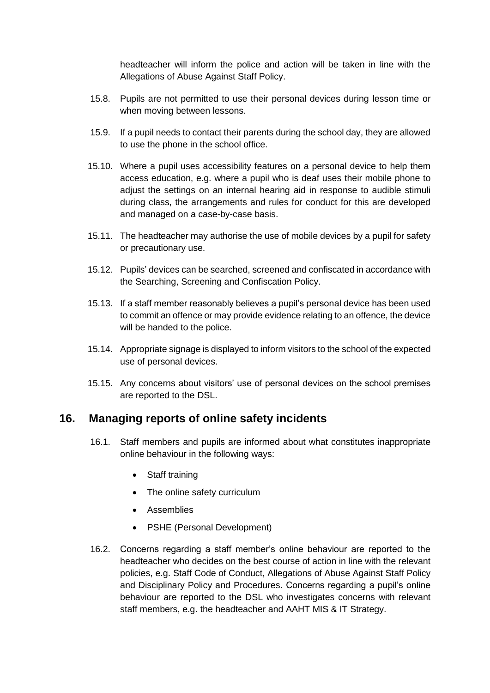headteacher will inform the police and action will be taken in line with the Allegations of Abuse Against Staff Policy.

- 15.8. Pupils are not permitted to use their personal devices during lesson time or when moving between lessons.
- 15.9. If a pupil needs to contact their parents during the school day, they are allowed to use the phone in the school office.
- 15.10. Where a pupil uses accessibility features on a personal device to help them access education, e.g. where a pupil who is deaf uses their mobile phone to adjust the settings on an internal hearing aid in response to audible stimuli during class, the arrangements and rules for conduct for this are developed and managed on a case-by-case basis.
- 15.11. The headteacher may authorise the use of mobile devices by a pupil for safety or precautionary use.
- 15.12. Pupils' devices can be searched, screened and confiscated in accordance with the Searching, Screening and Confiscation Policy.
- 15.13. If a staff member reasonably believes a pupil's personal device has been used to commit an offence or may provide evidence relating to an offence, the device will be handed to the police.
- 15.14. Appropriate signage is displayed to inform visitors to the school of the expected use of personal devices.
- 15.15. Any concerns about visitors' use of personal devices on the school premises are reported to the DSL.

#### <span id="page-17-0"></span>**16. Managing reports of online safety incidents**

- 16.1. Staff members and pupils are informed about what constitutes inappropriate online behaviour in the following ways:
	- Staff training
	- The online safety curriculum
	- Assemblies
	- PSHE (Personal Development)
- 16.2. Concerns regarding a staff member's online behaviour are reported to the headteacher who decides on the best course of action in line with the relevant policies, e.g. Staff Code of Conduct, Allegations of Abuse Against Staff Policy and Disciplinary Policy and Procedures. Concerns regarding a pupil's online behaviour are reported to the DSL who investigates concerns with relevant staff members, e.g. the headteacher and AAHT MIS & IT Strategy.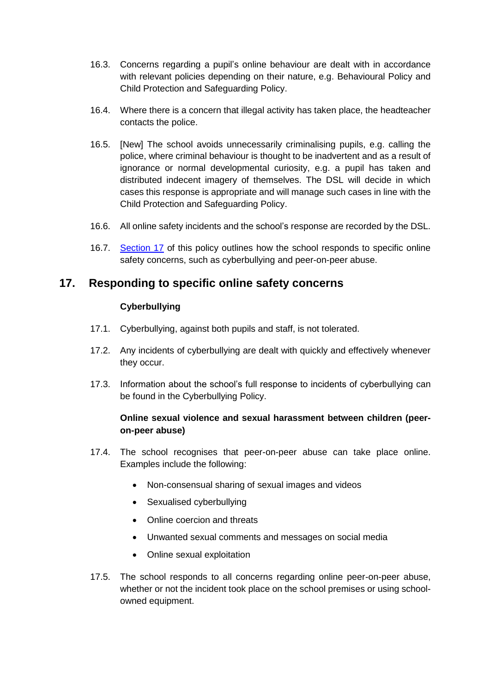- 16.3. Concerns regarding a pupil's online behaviour are dealt with in accordance with relevant policies depending on their nature, e.g. Behavioural Policy and Child Protection and Safeguarding Policy.
- 16.4. Where there is a concern that illegal activity has taken place, the headteacher contacts the police.
- 16.5. [New] The school avoids unnecessarily criminalising pupils, e.g. calling the police, where criminal behaviour is thought to be inadvertent and as a result of ignorance or normal developmental curiosity, e.g. a pupil has taken and distributed indecent imagery of themselves. The DSL will decide in which cases this response is appropriate and will manage such cases in line with the Child Protection and Safeguarding Policy.
- 16.6. All online safety incidents and the school's response are recorded by the DSL.
- 16.7. [Section 17](#page-18-0) of this policy outlines how the school responds to specific online safety concerns, such as cyberbullying and peer-on-peer abuse.

# <span id="page-18-0"></span>**17. Responding to specific online safety concerns**

#### **Cyberbullying**

- 17.1. Cyberbullying, against both pupils and staff, is not tolerated.
- 17.2. Any incidents of cyberbullying are dealt with quickly and effectively whenever they occur.
- 17.3. Information about the school's full response to incidents of cyberbullying can be found in the Cyberbullying Policy.

#### **Online sexual violence and sexual harassment between children (peeron-peer abuse)**

- 17.4. The school recognises that peer-on-peer abuse can take place online. Examples include the following:
	- Non-consensual sharing of sexual images and videos
	- Sexualised cyberbullying
	- Online coercion and threats
	- Unwanted sexual comments and messages on social media
	- Online sexual exploitation
- 17.5. The school responds to all concerns regarding online peer-on-peer abuse, whether or not the incident took place on the school premises or using schoolowned equipment.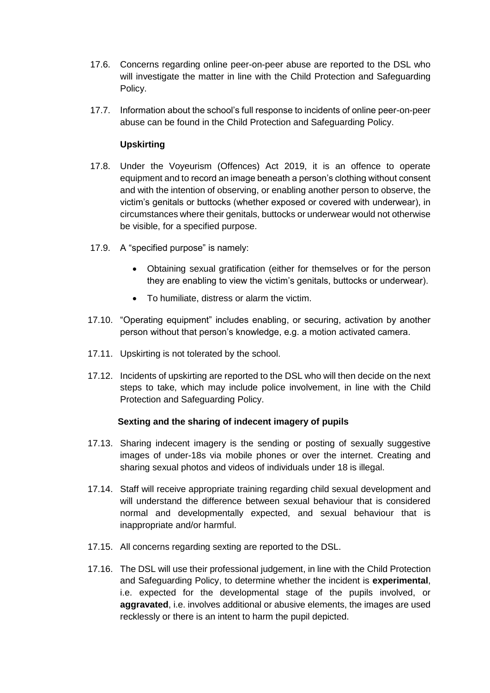- 17.6. Concerns regarding online peer-on-peer abuse are reported to the DSL who will investigate the matter in line with the Child Protection and Safeguarding Policy.
- 17.7. Information about the school's full response to incidents of online peer-on-peer abuse can be found in the Child Protection and Safeguarding Policy.

#### **Upskirting**

- 17.8. Under the Voyeurism (Offences) Act 2019, it is an offence to operate equipment and to record an image beneath a person's clothing without consent and with the intention of observing, or enabling another person to observe, the victim's genitals or buttocks (whether exposed or covered with underwear), in circumstances where their genitals, buttocks or underwear would not otherwise be visible, for a specified purpose.
- 17.9. A "specified purpose" is namely:
	- Obtaining sexual gratification (either for themselves or for the person they are enabling to view the victim's genitals, buttocks or underwear).
	- To humiliate, distress or alarm the victim.
- 17.10. "Operating equipment" includes enabling, or securing, activation by another person without that person's knowledge, e.g. a motion activated camera.
- 17.11. Upskirting is not tolerated by the school.
- 17.12. Incidents of upskirting are reported to the DSL who will then decide on the next steps to take, which may include police involvement, in line with the Child Protection and Safeguarding Policy.

#### **Sexting and the sharing of indecent imagery of pupils**

- 17.13. Sharing indecent imagery is the sending or posting of sexually suggestive images of under-18s via mobile phones or over the internet. Creating and sharing sexual photos and videos of individuals under 18 is illegal.
- 17.14. Staff will receive appropriate training regarding child sexual development and will understand the difference between sexual behaviour that is considered normal and developmentally expected, and sexual behaviour that is inappropriate and/or harmful.
- 17.15. All concerns regarding sexting are reported to the DSL.
- 17.16. The DSL will use their professional judgement, in line with the Child Protection and Safeguarding Policy, to determine whether the incident is **experimental**, i.e. expected for the developmental stage of the pupils involved, or **aggravated**, i.e. involves additional or abusive elements, the images are used recklessly or there is an intent to harm the pupil depicted.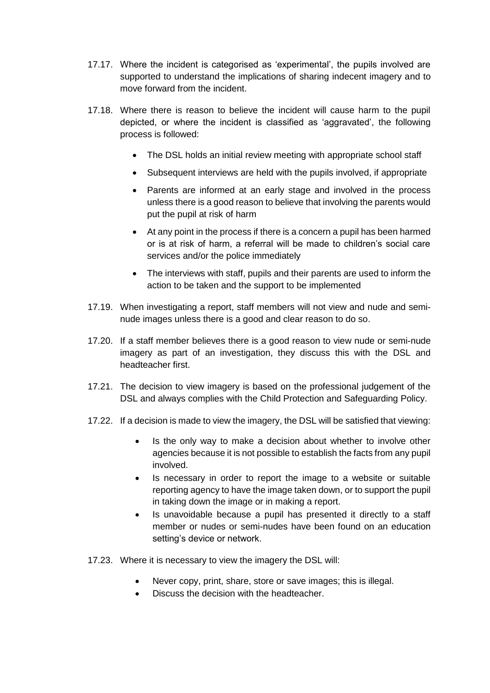- 17.17. Where the incident is categorised as 'experimental', the pupils involved are supported to understand the implications of sharing indecent imagery and to move forward from the incident.
- 17.18. Where there is reason to believe the incident will cause harm to the pupil depicted, or where the incident is classified as 'aggravated', the following process is followed:
	- The DSL holds an initial review meeting with appropriate school staff
	- Subsequent interviews are held with the pupils involved, if appropriate
	- Parents are informed at an early stage and involved in the process unless there is a good reason to believe that involving the parents would put the pupil at risk of harm
	- At any point in the process if there is a concern a pupil has been harmed or is at risk of harm, a referral will be made to children's social care services and/or the police immediately
	- The interviews with staff, pupils and their parents are used to inform the action to be taken and the support to be implemented
- 17.19. When investigating a report, staff members will not view and nude and seminude images unless there is a good and clear reason to do so.
- 17.20. If a staff member believes there is a good reason to view nude or semi-nude imagery as part of an investigation, they discuss this with the DSL and headteacher first.
- 17.21. The decision to view imagery is based on the professional judgement of the DSL and always complies with the Child Protection and Safeguarding Policy.
- 17.22. If a decision is made to view the imagery, the DSL will be satisfied that viewing:
	- Is the only way to make a decision about whether to involve other agencies because it is not possible to establish the facts from any pupil involved.
	- Is necessary in order to report the image to a website or suitable reporting agency to have the image taken down, or to support the pupil in taking down the image or in making a report.
	- Is unavoidable because a pupil has presented it directly to a staff member or nudes or semi-nudes have been found on an education setting's device or network.
- 17.23. Where it is necessary to view the imagery the DSL will:
	- Never copy, print, share, store or save images; this is illegal.
	- Discuss the decision with the headteacher.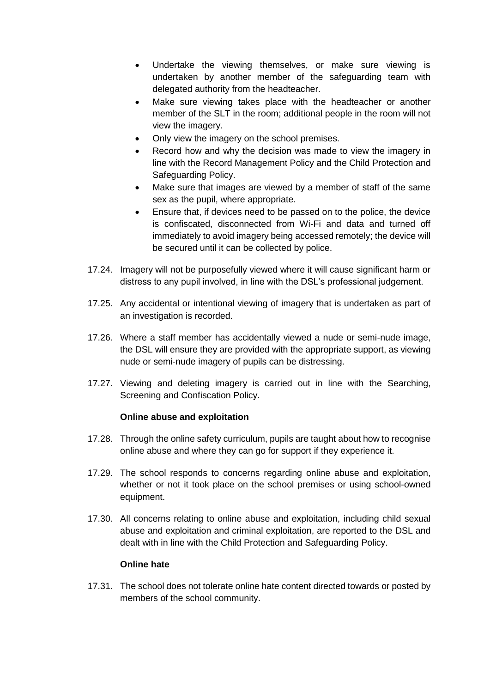- Undertake the viewing themselves, or make sure viewing is undertaken by another member of the safeguarding team with delegated authority from the headteacher.
- Make sure viewing takes place with the headteacher or another member of the SLT in the room; additional people in the room will not view the imagery.
- Only view the imagery on the school premises.
- Record how and why the decision was made to view the imagery in line with the Record Management Policy and the Child Protection and Safeguarding Policy.
- Make sure that images are viewed by a member of staff of the same sex as the pupil, where appropriate.
- Ensure that, if devices need to be passed on to the police, the device is confiscated, disconnected from Wi-Fi and data and turned off immediately to avoid imagery being accessed remotely; the device will be secured until it can be collected by police.
- 17.24. Imagery will not be purposefully viewed where it will cause significant harm or distress to any pupil involved, in line with the DSL's professional judgement.
- 17.25. Any accidental or intentional viewing of imagery that is undertaken as part of an investigation is recorded.
- 17.26. Where a staff member has accidentally viewed a nude or semi-nude image, the DSL will ensure they are provided with the appropriate support, as viewing nude or semi-nude imagery of pupils can be distressing.
- 17.27. Viewing and deleting imagery is carried out in line with the Searching, Screening and Confiscation Policy.

#### **Online abuse and exploitation**

- 17.28. Through the online safety curriculum, pupils are taught about how to recognise online abuse and where they can go for support if they experience it.
- 17.29. The school responds to concerns regarding online abuse and exploitation, whether or not it took place on the school premises or using school-owned equipment.
- 17.30. All concerns relating to online abuse and exploitation, including child sexual abuse and exploitation and criminal exploitation, are reported to the DSL and dealt with in line with the Child Protection and Safeguarding Policy.

#### **Online hate**

17.31. The school does not tolerate online hate content directed towards or posted by members of the school community.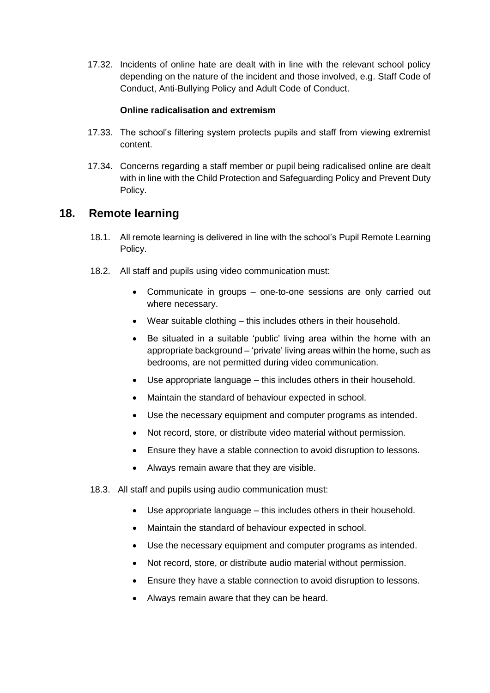17.32. Incidents of online hate are dealt with in line with the relevant school policy depending on the nature of the incident and those involved, e.g. Staff Code of Conduct, Anti-Bullying Policy and Adult Code of Conduct.

#### **Online radicalisation and extremism**

- 17.33. The school's filtering system protects pupils and staff from viewing extremist content.
- 17.34. Concerns regarding a staff member or pupil being radicalised online are dealt with in line with the Child Protection and Safeguarding Policy and Prevent Duty Policy.

#### <span id="page-22-0"></span>**18. Remote learning**

- 18.1. All remote learning is delivered in line with the school's Pupil Remote Learning Policy.
- 18.2. All staff and pupils using video communication must:
	- Communicate in groups one-to-one sessions are only carried out where necessary.
	- Wear suitable clothing this includes others in their household.
	- Be situated in a suitable 'public' living area within the home with an appropriate background – 'private' living areas within the home, such as bedrooms, are not permitted during video communication.
	- Use appropriate language this includes others in their household.
	- Maintain the standard of behaviour expected in school.
	- Use the necessary equipment and computer programs as intended.
	- Not record, store, or distribute video material without permission.
	- Ensure they have a stable connection to avoid disruption to lessons.
	- Always remain aware that they are visible.
- 18.3. All staff and pupils using audio communication must:
	- Use appropriate language this includes others in their household.
	- Maintain the standard of behaviour expected in school.
	- Use the necessary equipment and computer programs as intended.
	- Not record, store, or distribute audio material without permission.
	- Ensure they have a stable connection to avoid disruption to lessons.
	- Always remain aware that they can be heard.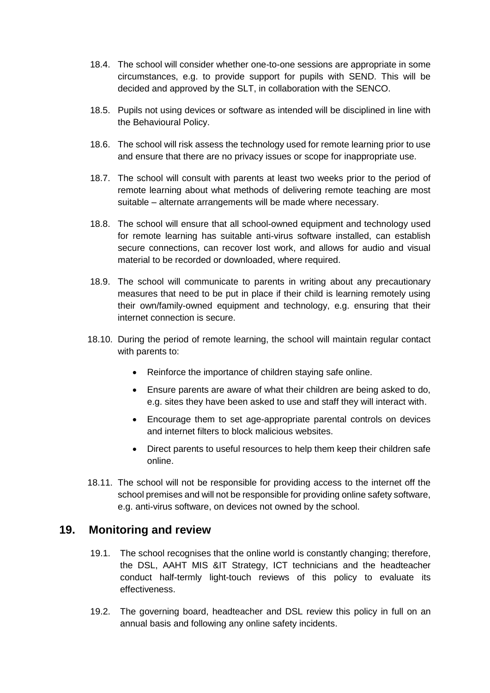- 18.4. The school will consider whether one-to-one sessions are appropriate in some circumstances, e.g. to provide support for pupils with SEND. This will be decided and approved by the SLT, in collaboration with the SENCO.
- 18.5. Pupils not using devices or software as intended will be disciplined in line with the Behavioural Policy.
- 18.6. The school will risk assess the technology used for remote learning prior to use and ensure that there are no privacy issues or scope for inappropriate use.
- 18.7. The school will consult with parents at least two weeks prior to the period of remote learning about what methods of delivering remote teaching are most suitable – alternate arrangements will be made where necessary.
- 18.8. The school will ensure that all school-owned equipment and technology used for remote learning has suitable anti-virus software installed, can establish secure connections, can recover lost work, and allows for audio and visual material to be recorded or downloaded, where required.
- 18.9. The school will communicate to parents in writing about any precautionary measures that need to be put in place if their child is learning remotely using their own/family-owned equipment and technology, e.g. ensuring that their internet connection is secure.
- 18.10. During the period of remote learning, the school will maintain regular contact with parents to:
	- Reinforce the importance of children staying safe online.
	- Ensure parents are aware of what their children are being asked to do, e.g. sites they have been asked to use and staff they will interact with.
	- Encourage them to set age-appropriate parental controls on devices and internet filters to block malicious websites.
	- Direct parents to useful resources to help them keep their children safe online.
- 18.11. The school will not be responsible for providing access to the internet off the school premises and will not be responsible for providing online safety software, e.g. anti-virus software, on devices not owned by the school.

#### <span id="page-23-0"></span>**19. Monitoring and review**

- 19.1. The school recognises that the online world is constantly changing; therefore, the DSL, AAHT MIS &IT Strategy, ICT technicians and the headteacher conduct half-termly light-touch reviews of this policy to evaluate its effectiveness.
- 19.2. The governing board, headteacher and DSL review this policy in full on an annual basis and following any online safety incidents.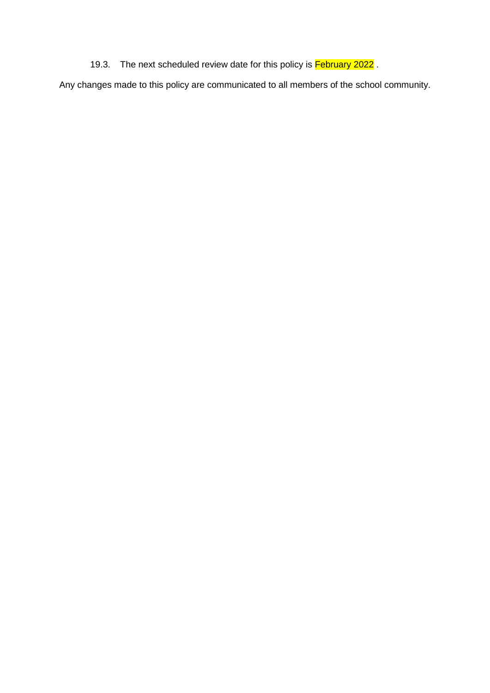19.3. The next scheduled review date for this policy is February 2022.

Any changes made to this policy are communicated to all members of the school community.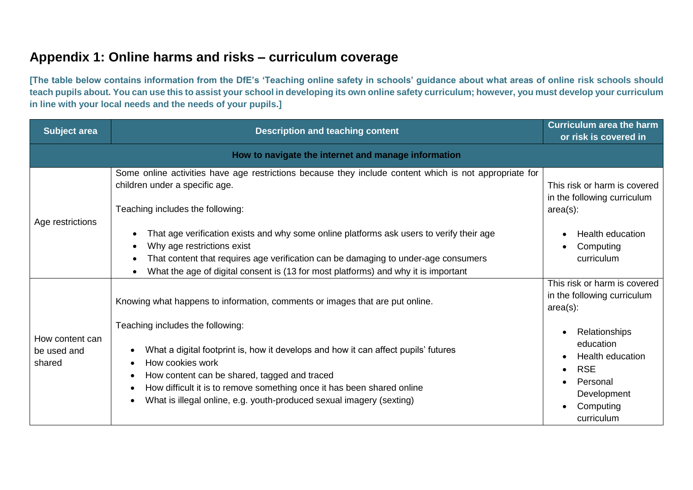# **Appendix 1: Online harms and risks – curriculum coverage**

**[The table below contains information from the DfE's 'Teaching online safety in schools' guidance about what areas of online risk schools should teach pupils about. You can use this to assist your school in developing its own online safety curriculum; however, you must develop your curriculum in line with your local needs and the needs of your pupils.]** 

<span id="page-25-0"></span>

| <b>Subject area</b>                                 | <b>Description and teaching content</b>                                                                                                                                                                                                                                                                                                      | <b>Curriculum area the harm</b><br>or risk is covered in                                                                  |
|-----------------------------------------------------|----------------------------------------------------------------------------------------------------------------------------------------------------------------------------------------------------------------------------------------------------------------------------------------------------------------------------------------------|---------------------------------------------------------------------------------------------------------------------------|
| How to navigate the internet and manage information |                                                                                                                                                                                                                                                                                                                                              |                                                                                                                           |
| Age restrictions                                    | Some online activities have age restrictions because they include content which is not appropriate for<br>children under a specific age.<br>Teaching includes the following:                                                                                                                                                                 | This risk or harm is covered<br>in the following curriculum<br>$area(s)$ :                                                |
|                                                     | That age verification exists and why some online platforms ask users to verify their age<br>Why age restrictions exist<br>$\bullet$<br>That content that requires age verification can be damaging to under-age consumers<br>$\bullet$<br>What the age of digital consent is (13 for most platforms) and why it is important<br>$\bullet$    | <b>Health education</b><br>Computing<br>curriculum                                                                        |
| How content can<br>be used and<br>shared            | Knowing what happens to information, comments or images that are put online.                                                                                                                                                                                                                                                                 | This risk or harm is covered<br>in the following curriculum<br>$area(s)$ :                                                |
|                                                     | Teaching includes the following:<br>What a digital footprint is, how it develops and how it can affect pupils' futures<br>How cookies work<br>How content can be shared, tagged and traced<br>How difficult it is to remove something once it has been shared online<br>What is illegal online, e.g. youth-produced sexual imagery (sexting) | Relationships<br>education<br><b>Health education</b><br><b>RSE</b><br>Personal<br>Development<br>Computing<br>curriculum |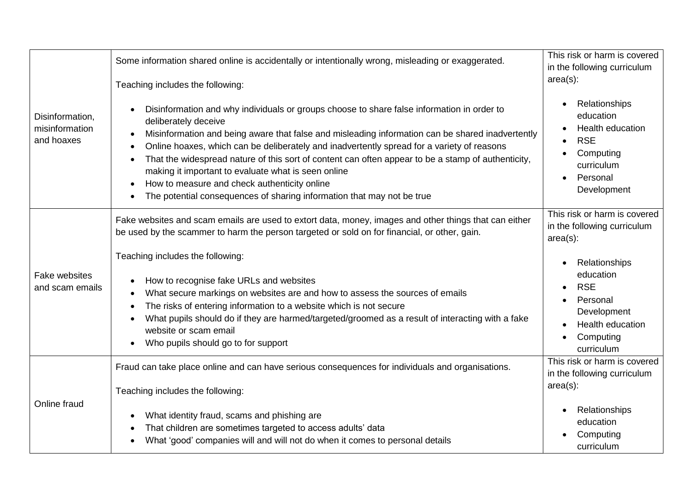|                                                 | Some information shared online is accidentally or intentionally wrong, misleading or exaggerated.<br>Teaching includes the following:                                                                                                                                                                                                                                                                                                                                                                                                                                                                            | This risk or harm is covered<br>in the following curriculum<br>$area(s)$ :                                         |
|-------------------------------------------------|------------------------------------------------------------------------------------------------------------------------------------------------------------------------------------------------------------------------------------------------------------------------------------------------------------------------------------------------------------------------------------------------------------------------------------------------------------------------------------------------------------------------------------------------------------------------------------------------------------------|--------------------------------------------------------------------------------------------------------------------|
| Disinformation,<br>misinformation<br>and hoaxes | Disinformation and why individuals or groups choose to share false information in order to<br>deliberately deceive<br>Misinformation and being aware that false and misleading information can be shared inadvertently<br>٠<br>Online hoaxes, which can be deliberately and inadvertently spread for a variety of reasons<br>That the widespread nature of this sort of content can often appear to be a stamp of authenticity,<br>making it important to evaluate what is seen online<br>How to measure and check authenticity online<br>The potential consequences of sharing information that may not be true | Relationships<br>education<br>Health education<br><b>RSE</b><br>Computing<br>curriculum<br>Personal<br>Development |
| <b>Fake websites</b><br>and scam emails         | Fake websites and scam emails are used to extort data, money, images and other things that can either<br>be used by the scammer to harm the person targeted or sold on for financial, or other, gain.                                                                                                                                                                                                                                                                                                                                                                                                            | This risk or harm is covered<br>in the following curriculum<br>$area(s)$ :                                         |
|                                                 | Teaching includes the following:<br>How to recognise fake URLs and websites<br>What secure markings on websites are and how to assess the sources of emails<br>The risks of entering information to a website which is not secure<br>What pupils should do if they are harmed/targeted/groomed as a result of interacting with a fake<br>website or scam email<br>Who pupils should go to for support<br>٠                                                                                                                                                                                                       | Relationships<br>education<br><b>RSE</b><br>Personal<br>Development<br>Health education<br>Computing<br>curriculum |
| Online fraud                                    | Fraud can take place online and can have serious consequences for individuals and organisations.<br>Teaching includes the following:                                                                                                                                                                                                                                                                                                                                                                                                                                                                             | This risk or harm is covered<br>in the following curriculum<br>$area(s)$ :                                         |
|                                                 | What identity fraud, scams and phishing are<br>That children are sometimes targeted to access adults' data<br>What 'good' companies will and will not do when it comes to personal details                                                                                                                                                                                                                                                                                                                                                                                                                       | Relationships<br>education<br>Computing<br>curriculum                                                              |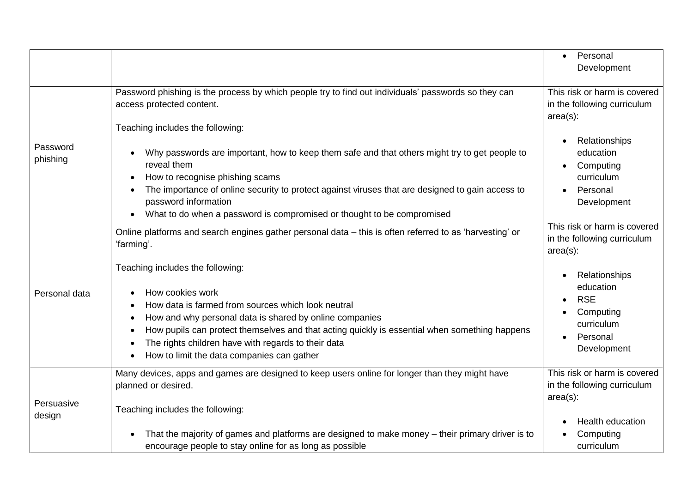|                      |                                                                                                                                                                                                                                                                                                                                                                                           | Personal<br>$\bullet$<br>Development                                                                        |
|----------------------|-------------------------------------------------------------------------------------------------------------------------------------------------------------------------------------------------------------------------------------------------------------------------------------------------------------------------------------------------------------------------------------------|-------------------------------------------------------------------------------------------------------------|
|                      | Password phishing is the process by which people try to find out individuals' passwords so they can<br>access protected content.                                                                                                                                                                                                                                                          | This risk or harm is covered<br>in the following curriculum<br>$area(s)$ :                                  |
| Password<br>phishing | Teaching includes the following:<br>Why passwords are important, how to keep them safe and that others might try to get people to<br>reveal them<br>How to recognise phishing scams<br>The importance of online security to protect against viruses that are designed to gain access to<br>password information<br>What to do when a password is compromised or thought to be compromised | Relationships<br>education<br>Computing<br>curriculum<br>Personal<br>Development                            |
|                      | Online platforms and search engines gather personal data - this is often referred to as 'harvesting' or<br>'farming'.                                                                                                                                                                                                                                                                     | This risk or harm is covered<br>in the following curriculum<br>$area(s)$ :                                  |
| Personal data        | Teaching includes the following:<br>How cookies work<br>How data is farmed from sources which look neutral<br>How and why personal data is shared by online companies<br>How pupils can protect themselves and that acting quickly is essential when something happens<br>The rights children have with regards to their data<br>How to limit the data companies can gather               | Relationships<br>education<br><b>RSE</b><br>$\bullet$<br>Computing<br>curriculum<br>Personal<br>Development |
| Persuasive           | Many devices, apps and games are designed to keep users online for longer than they might have<br>planned or desired.<br>Teaching includes the following:                                                                                                                                                                                                                                 | This risk or harm is covered<br>in the following curriculum<br>$area(s)$ :                                  |
| design               | That the majority of games and platforms are designed to make money - their primary driver is to<br>encourage people to stay online for as long as possible                                                                                                                                                                                                                               | Health education<br>Computing<br>curriculum                                                                 |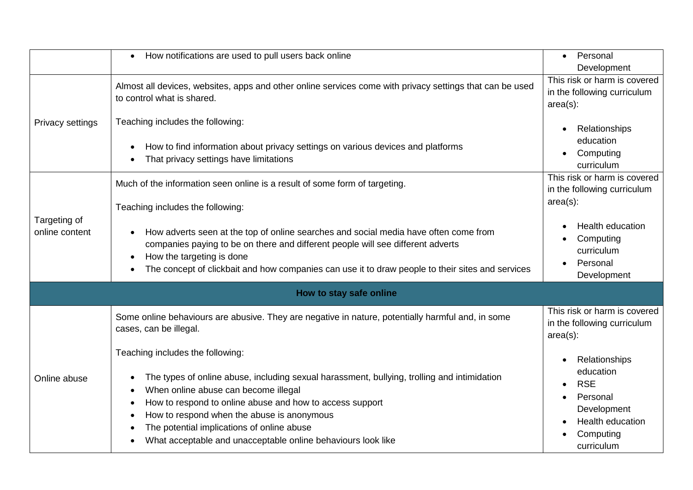|                                | How notifications are used to pull users back online                                                                                                                                                                                                                                                                                                                                            | Personal<br>$\bullet$                                                                                              |
|--------------------------------|-------------------------------------------------------------------------------------------------------------------------------------------------------------------------------------------------------------------------------------------------------------------------------------------------------------------------------------------------------------------------------------------------|--------------------------------------------------------------------------------------------------------------------|
|                                |                                                                                                                                                                                                                                                                                                                                                                                                 | Development                                                                                                        |
| Privacy settings               | Almost all devices, websites, apps and other online services come with privacy settings that can be used<br>to control what is shared.                                                                                                                                                                                                                                                          | This risk or harm is covered<br>in the following curriculum<br>$area(s)$ :                                         |
|                                | Teaching includes the following:                                                                                                                                                                                                                                                                                                                                                                | Relationships                                                                                                      |
|                                | How to find information about privacy settings on various devices and platforms<br>That privacy settings have limitations                                                                                                                                                                                                                                                                       | education<br>Computing<br>curriculum                                                                               |
|                                | Much of the information seen online is a result of some form of targeting.                                                                                                                                                                                                                                                                                                                      | This risk or harm is covered<br>in the following curriculum                                                        |
|                                | Teaching includes the following:                                                                                                                                                                                                                                                                                                                                                                | $area(s)$ :                                                                                                        |
| Targeting of<br>online content | How adverts seen at the top of online searches and social media have often come from<br>companies paying to be on there and different people will see different adverts<br>How the targeting is done<br>The concept of clickbait and how companies can use it to draw people to their sites and services                                                                                        | Health education<br>Computing<br>curriculum<br>Personal<br>Development                                             |
|                                | How to stay safe online                                                                                                                                                                                                                                                                                                                                                                         |                                                                                                                    |
| Online abuse                   | Some online behaviours are abusive. They are negative in nature, potentially harmful and, in some<br>cases, can be illegal.                                                                                                                                                                                                                                                                     | This risk or harm is covered<br>in the following curriculum<br>$area(s)$ :                                         |
|                                | Teaching includes the following:<br>The types of online abuse, including sexual harassment, bullying, trolling and intimidation<br>When online abuse can become illegal<br>How to respond to online abuse and how to access support<br>How to respond when the abuse is anonymous<br>The potential implications of online abuse<br>What acceptable and unacceptable online behaviours look like | Relationships<br>education<br><b>RSE</b><br>Personal<br>Development<br>Health education<br>Computing<br>curriculum |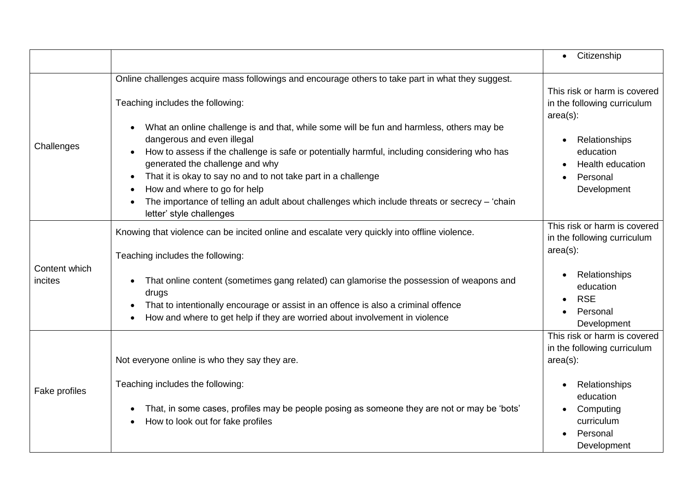|                          |                                                                                                                                                                                                                                                                                                                                                                                                                                                                                                                                                                                                                                  | Citizenship<br>$\bullet$                                                                                                                                       |
|--------------------------|----------------------------------------------------------------------------------------------------------------------------------------------------------------------------------------------------------------------------------------------------------------------------------------------------------------------------------------------------------------------------------------------------------------------------------------------------------------------------------------------------------------------------------------------------------------------------------------------------------------------------------|----------------------------------------------------------------------------------------------------------------------------------------------------------------|
| Challenges               | Online challenges acquire mass followings and encourage others to take part in what they suggest.<br>Teaching includes the following:<br>What an online challenge is and that, while some will be fun and harmless, others may be<br>dangerous and even illegal<br>How to assess if the challenge is safe or potentially harmful, including considering who has<br>generated the challenge and why<br>That it is okay to say no and to not take part in a challenge<br>How and where to go for help<br>The importance of telling an adult about challenges which include threats or secrecy - 'chain<br>letter' style challenges | This risk or harm is covered<br>in the following curriculum<br>$area(s)$ :<br>Relationships<br>education<br>Health education<br>Personal<br>Development        |
| Content which<br>incites | Knowing that violence can be incited online and escalate very quickly into offline violence.<br>Teaching includes the following:<br>That online content (sometimes gang related) can glamorise the possession of weapons and<br>drugs<br>That to intentionally encourage or assist in an offence is also a criminal offence<br>How and where to get help if they are worried about involvement in violence                                                                                                                                                                                                                       | This risk or harm is covered<br>in the following curriculum<br>$area(s)$ :<br>Relationships<br>education<br><b>RSE</b><br>$\bullet$<br>Personal<br>Development |
| Fake profiles            | Not everyone online is who they say they are.<br>Teaching includes the following:<br>That, in some cases, profiles may be people posing as someone they are not or may be 'bots'<br>How to look out for fake profiles                                                                                                                                                                                                                                                                                                                                                                                                            | This risk or harm is covered<br>in the following curriculum<br>$area(s)$ :<br>Relationships<br>education<br>Computing<br>curriculum<br>Personal<br>Development |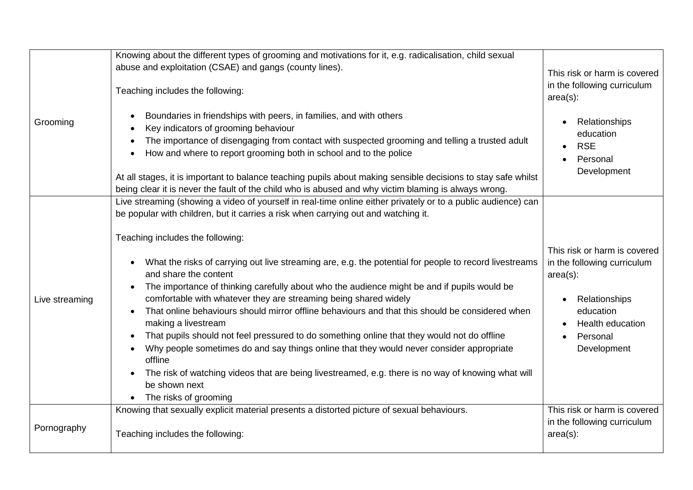|                | Knowing about the different types of grooming and motivations for it, e.g. radicalisation, child sexual                                                                                                                                                                                                                                                                                                                                                                                                                                                                                                                                                                                                                                                                                                                                                                                                                                                                                                                       |                                                                                                                                                         |
|----------------|-------------------------------------------------------------------------------------------------------------------------------------------------------------------------------------------------------------------------------------------------------------------------------------------------------------------------------------------------------------------------------------------------------------------------------------------------------------------------------------------------------------------------------------------------------------------------------------------------------------------------------------------------------------------------------------------------------------------------------------------------------------------------------------------------------------------------------------------------------------------------------------------------------------------------------------------------------------------------------------------------------------------------------|---------------------------------------------------------------------------------------------------------------------------------------------------------|
|                | abuse and exploitation (CSAE) and gangs (county lines).<br>Teaching includes the following:                                                                                                                                                                                                                                                                                                                                                                                                                                                                                                                                                                                                                                                                                                                                                                                                                                                                                                                                   | This risk or harm is covered<br>in the following curriculum<br>$area(s)$ :                                                                              |
| Grooming       | Boundaries in friendships with peers, in families, and with others<br>Key indicators of grooming behaviour<br>The importance of disengaging from contact with suspected grooming and telling a trusted adult<br>How and where to report grooming both in school and to the police<br>At all stages, it is important to balance teaching pupils about making sensible decisions to stay safe whilst<br>being clear it is never the fault of the child who is abused and why victim blaming is always wrong.                                                                                                                                                                                                                                                                                                                                                                                                                                                                                                                    | Relationships<br>education<br><b>RSE</b><br>Personal<br>$\bullet$<br>Development                                                                        |
| Live streaming | Live streaming (showing a video of yourself in real-time online either privately or to a public audience) can<br>be popular with children, but it carries a risk when carrying out and watching it.<br>Teaching includes the following:<br>What the risks of carrying out live streaming are, e.g. the potential for people to record livestreams<br>and share the content<br>The importance of thinking carefully about who the audience might be and if pupils would be<br>comfortable with whatever they are streaming being shared widely<br>That online behaviours should mirror offline behaviours and that this should be considered when<br>making a livestream<br>That pupils should not feel pressured to do something online that they would not do offline<br>Why people sometimes do and say things online that they would never consider appropriate<br>offline<br>The risk of watching videos that are being livestreamed, e.g. there is no way of knowing what will<br>be shown next<br>The risks of grooming | This risk or harm is covered<br>in the following curriculum<br>$area(s)$ :<br>Relationships<br>education<br>Health education<br>Personal<br>Development |
| Pornography    | Knowing that sexually explicit material presents a distorted picture of sexual behaviours.<br>Teaching includes the following:                                                                                                                                                                                                                                                                                                                                                                                                                                                                                                                                                                                                                                                                                                                                                                                                                                                                                                | This risk or harm is covered<br>in the following curriculum<br>$area(s)$ :                                                                              |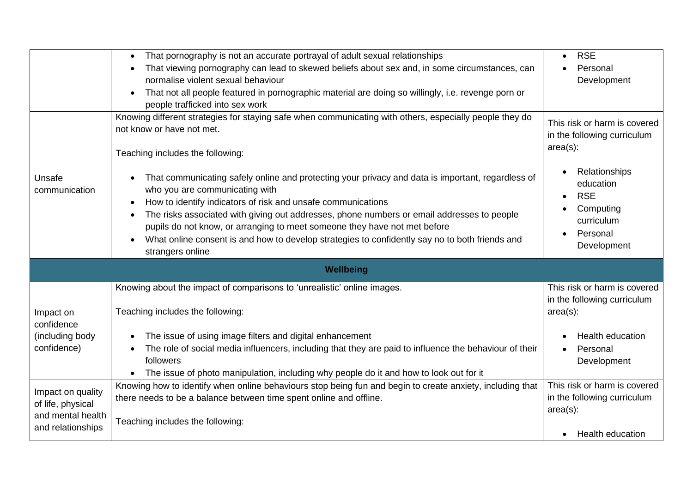|                   | That pornography is not an accurate portrayal of adult sexual relationships<br>$\bullet$                    | <b>RSE</b><br>$\bullet$      |
|-------------------|-------------------------------------------------------------------------------------------------------------|------------------------------|
|                   | That viewing pornography can lead to skewed beliefs about sex and, in some circumstances, can               | Personal                     |
|                   | normalise violent sexual behaviour                                                                          | Development                  |
|                   | That not all people featured in pornographic material are doing so willingly, i.e. revenge porn or          |                              |
|                   | people trafficked into sex work                                                                             |                              |
|                   | Knowing different strategies for staying safe when communicating with others, especially people they do     | This risk or harm is covered |
|                   | not know or have not met.                                                                                   | in the following curriculum  |
|                   |                                                                                                             | $area(s)$ :                  |
|                   | Teaching includes the following:                                                                            |                              |
|                   |                                                                                                             | Relationships                |
| Unsafe            | That communicating safely online and protecting your privacy and data is important, regardless of           | education                    |
| communication     | who you are communicating with                                                                              | <b>RSE</b><br>$\bullet$      |
|                   | How to identify indicators of risk and unsafe communications                                                | Computing                    |
|                   | The risks associated with giving out addresses, phone numbers or email addresses to people                  | curriculum                   |
|                   | pupils do not know, or arranging to meet someone they have not met before                                   | Personal                     |
|                   | What online consent is and how to develop strategies to confidently say no to both friends and<br>$\bullet$ | Development                  |
|                   | strangers online                                                                                            |                              |
|                   | Wellbeing                                                                                                   |                              |
|                   | Knowing about the impact of comparisons to 'unrealistic' online images.                                     | This risk or harm is covered |
|                   |                                                                                                             | in the following curriculum  |
| Impact on         | Teaching includes the following:                                                                            | $area(s)$ :                  |
| confidence        |                                                                                                             |                              |
| (including body   | The issue of using image filters and digital enhancement                                                    | <b>Health education</b>      |
| confidence)       | The role of social media influencers, including that they are paid to influence the behaviour of their      | Personal                     |
|                   | followers                                                                                                   | Development                  |
|                   | The issue of photo manipulation, including why people do it and how to look out for it                      |                              |
| Impact on quality | Knowing how to identify when online behaviours stop being fun and begin to create anxiety, including that   | This risk or harm is covered |
| of life, physical | there needs to be a balance between time spent online and offline.                                          | in the following curriculum  |
| and mental health |                                                                                                             | $area(s)$ :                  |
| and relationships | Teaching includes the following:                                                                            |                              |
|                   |                                                                                                             | <b>Health education</b>      |